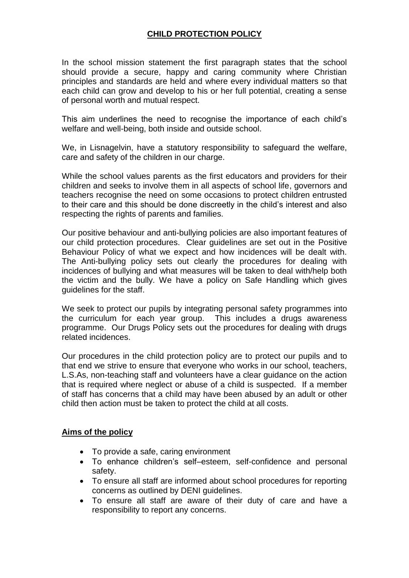# **CHILD PROTECTION POLICY**

In the school mission statement the first paragraph states that the school should provide a secure, happy and caring community where Christian principles and standards are held and where every individual matters so that each child can grow and develop to his or her full potential, creating a sense of personal worth and mutual respect.

This aim underlines the need to recognise the importance of each child's welfare and well-being, both inside and outside school.

We, in Lisnagelvin, have a statutory responsibility to safeguard the welfare, care and safety of the children in our charge.

While the school values parents as the first educators and providers for their children and seeks to involve them in all aspects of school life, governors and teachers recognise the need on some occasions to protect children entrusted to their care and this should be done discreetly in the child's interest and also respecting the rights of parents and families.

Our positive behaviour and anti-bullying policies are also important features of our child protection procedures. Clear guidelines are set out in the Positive Behaviour Policy of what we expect and how incidences will be dealt with. The Anti-bullying policy sets out clearly the procedures for dealing with incidences of bullying and what measures will be taken to deal with/help both the victim and the bully. We have a policy on Safe Handling which gives guidelines for the staff.

We seek to protect our pupils by integrating personal safety programmes into the curriculum for each year group. This includes a drugs awareness programme. Our Drugs Policy sets out the procedures for dealing with drugs related incidences.

Our procedures in the child protection policy are to protect our pupils and to that end we strive to ensure that everyone who works in our school, teachers, L.S.As, non-teaching staff and volunteers have a clear guidance on the action that is required where neglect or abuse of a child is suspected. If a member of staff has concerns that a child may have been abused by an adult or other child then action must be taken to protect the child at all costs.

### **Aims of the policy**

- To provide a safe, caring environment
- To enhance children's self–esteem, self-confidence and personal safety.
- To ensure all staff are informed about school procedures for reporting concerns as outlined by DENI guidelines.
- To ensure all staff are aware of their duty of care and have a responsibility to report any concerns.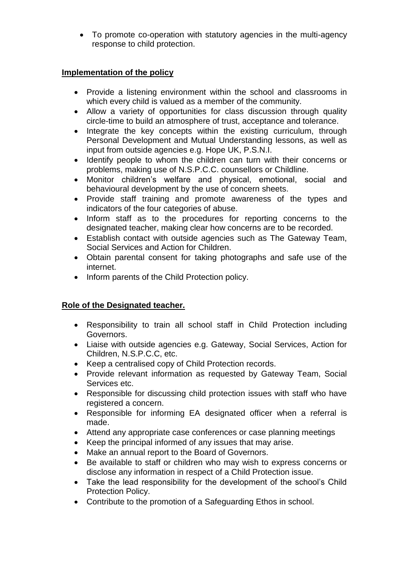To promote co-operation with statutory agencies in the multi-agency response to child protection.

### **Implementation of the policy**

- Provide a listening environment within the school and classrooms in which every child is valued as a member of the community.
- Allow a variety of opportunities for class discussion through quality circle-time to build an atmosphere of trust, acceptance and tolerance.
- Integrate the key concepts within the existing curriculum, through Personal Development and Mutual Understanding lessons, as well as input from outside agencies e.g. Hope UK, P.S.N.I.
- Identify people to whom the children can turn with their concerns or problems, making use of N.S.P.C.C. counsellors or Childline.
- Monitor children's welfare and physical, emotional, social and behavioural development by the use of concern sheets.
- Provide staff training and promote awareness of the types and indicators of the four categories of abuse.
- Inform staff as to the procedures for reporting concerns to the designated teacher, making clear how concerns are to be recorded.
- Establish contact with outside agencies such as The Gateway Team, Social Services and Action for Children.
- Obtain parental consent for taking photographs and safe use of the internet.
- Inform parents of the Child Protection policy.

### **Role of the Designated teacher.**

- Responsibility to train all school staff in Child Protection including Governors.
- Liaise with outside agencies e.g. Gateway, Social Services, Action for Children, N.S.P.C.C, etc.
- Keep a centralised copy of Child Protection records.
- Provide relevant information as requested by Gateway Team, Social Services etc.
- Responsible for discussing child protection issues with staff who have registered a concern.
- Responsible for informing EA designated officer when a referral is made.
- Attend any appropriate case conferences or case planning meetings
- Keep the principal informed of any issues that may arise.
- Make an annual report to the Board of Governors.
- Be available to staff or children who may wish to express concerns or disclose any information in respect of a Child Protection issue.
- Take the lead responsibility for the development of the school's Child Protection Policy.
- Contribute to the promotion of a Safeguarding Ethos in school.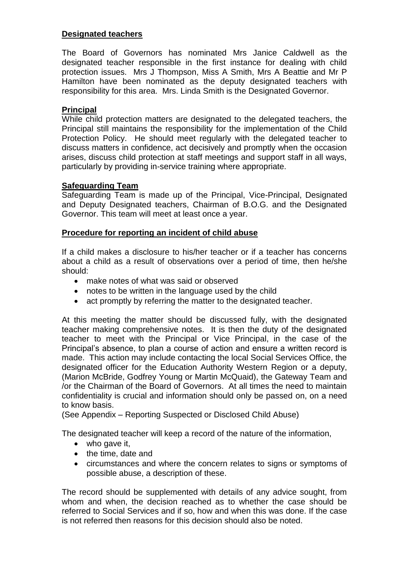### **Designated teachers**

The Board of Governors has nominated Mrs Janice Caldwell as the designated teacher responsible in the first instance for dealing with child protection issues. Mrs J Thompson, Miss A Smith, Mrs A Beattie and Mr P Hamilton have been nominated as the deputy designated teachers with responsibility for this area. Mrs. Linda Smith is the Designated Governor.

### **Principal**

While child protection matters are designated to the delegated teachers, the Principal still maintains the responsibility for the implementation of the Child Protection Policy. He should meet regularly with the delegated teacher to discuss matters in confidence, act decisively and promptly when the occasion arises, discuss child protection at staff meetings and support staff in all ways, particularly by providing in-service training where appropriate.

### **Safeguarding Team**

Safeguarding Team is made up of the Principal, Vice-Principal, Designated and Deputy Designated teachers, Chairman of B.O.G. and the Designated Governor. This team will meet at least once a year.

### **Procedure for reporting an incident of child abuse**

If a child makes a disclosure to his/her teacher or if a teacher has concerns about a child as a result of observations over a period of time, then he/she should:

- make notes of what was said or observed
- notes to be written in the language used by the child
- act promptly by referring the matter to the designated teacher.

At this meeting the matter should be discussed fully, with the designated teacher making comprehensive notes. It is then the duty of the designated teacher to meet with the Principal or Vice Principal, in the case of the Principal's absence, to plan a course of action and ensure a written record is made. This action may include contacting the local Social Services Office, the designated officer for the Education Authority Western Region or a deputy, (Marion McBride, Godfrey Young or Martin McQuaid), the Gateway Team and /or the Chairman of the Board of Governors. At all times the need to maintain confidentiality is crucial and information should only be passed on, on a need to know basis.

(See Appendix – Reporting Suspected or Disclosed Child Abuse)

The designated teacher will keep a record of the nature of the information,

- who gave it,
- the time, date and
- circumstances and where the concern relates to signs or symptoms of possible abuse, a description of these.

The record should be supplemented with details of any advice sought, from whom and when, the decision reached as to whether the case should be referred to Social Services and if so, how and when this was done. If the case is not referred then reasons for this decision should also be noted.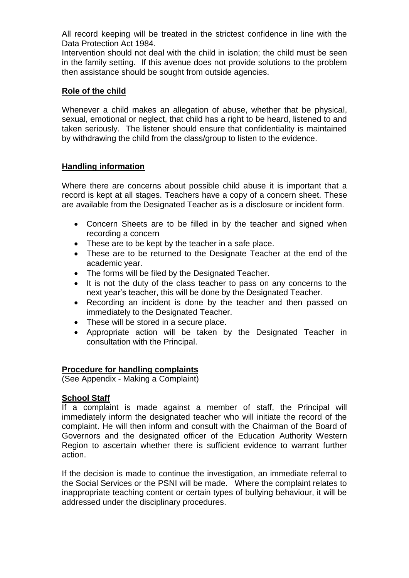All record keeping will be treated in the strictest confidence in line with the Data Protection Act 1984.

Intervention should not deal with the child in isolation; the child must be seen in the family setting. If this avenue does not provide solutions to the problem then assistance should be sought from outside agencies.

### **Role of the child**

Whenever a child makes an allegation of abuse, whether that be physical, sexual, emotional or neglect, that child has a right to be heard, listened to and taken seriously. The listener should ensure that confidentiality is maintained by withdrawing the child from the class/group to listen to the evidence.

### **Handling information**

Where there are concerns about possible child abuse it is important that a record is kept at all stages. Teachers have a copy of a concern sheet. These are available from the Designated Teacher as is a disclosure or incident form.

- Concern Sheets are to be filled in by the teacher and signed when recording a concern
- These are to be kept by the teacher in a safe place.
- These are to be returned to the Designate Teacher at the end of the academic year.
- The forms will be filed by the Designated Teacher.
- It is not the duty of the class teacher to pass on any concerns to the next year's teacher, this will be done by the Designated Teacher.
- Recording an incident is done by the teacher and then passed on immediately to the Designated Teacher.
- These will be stored in a secure place.
- Appropriate action will be taken by the Designated Teacher in consultation with the Principal.

### **Procedure for handling complaints**

(See Appendix - Making a Complaint)

### **School Staff**

If a complaint is made against a member of staff, the Principal will immediately inform the designated teacher who will initiate the record of the complaint. He will then inform and consult with the Chairman of the Board of Governors and the designated officer of the Education Authority Western Region to ascertain whether there is sufficient evidence to warrant further action.

If the decision is made to continue the investigation, an immediate referral to the Social Services or the PSNI will be made. Where the complaint relates to inappropriate teaching content or certain types of bullying behaviour, it will be addressed under the disciplinary procedures.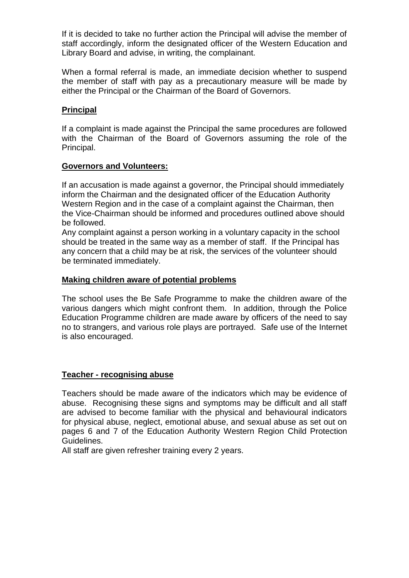If it is decided to take no further action the Principal will advise the member of staff accordingly, inform the designated officer of the Western Education and Library Board and advise, in writing, the complainant.

When a formal referral is made, an immediate decision whether to suspend the member of staff with pay as a precautionary measure will be made by either the Principal or the Chairman of the Board of Governors.

### **Principal**

If a complaint is made against the Principal the same procedures are followed with the Chairman of the Board of Governors assuming the role of the Principal.

#### **Governors and Volunteers:**

If an accusation is made against a governor, the Principal should immediately inform the Chairman and the designated officer of the Education Authority Western Region and in the case of a complaint against the Chairman, then the Vice-Chairman should be informed and procedures outlined above should be followed.

Any complaint against a person working in a voluntary capacity in the school should be treated in the same way as a member of staff. If the Principal has any concern that a child may be at risk, the services of the volunteer should be terminated immediately.

### **Making children aware of potential problems**

The school uses the Be Safe Programme to make the children aware of the various dangers which might confront them. In addition, through the Police Education Programme children are made aware by officers of the need to say no to strangers, and various role plays are portrayed. Safe use of the Internet is also encouraged.

### **Teacher - recognising abuse**

Teachers should be made aware of the indicators which may be evidence of abuse. Recognising these signs and symptoms may be difficult and all staff are advised to become familiar with the physical and behavioural indicators for physical abuse, neglect, emotional abuse, and sexual abuse as set out on pages 6 and 7 of the Education Authority Western Region Child Protection Guidelines.

All staff are given refresher training every 2 years.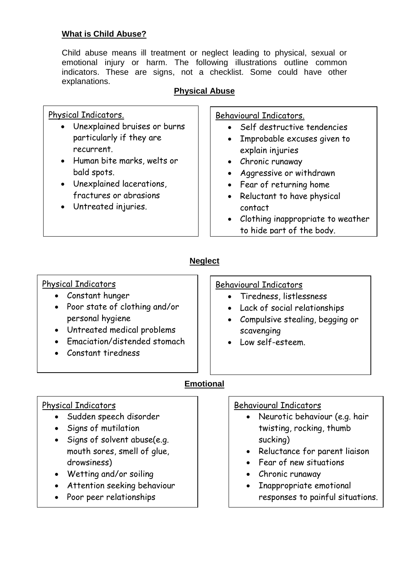# **What is Child Abuse?**

Child abuse means ill treatment or neglect leading to physical, sexual or emotional injury or harm. The following illustrations outline common indicators. These are signs, not a checklist. Some could have other explanations.

# **Physical Abuse**

| Physical Indicators.                            | Behavioural Indicators.                                                        |
|-------------------------------------------------|--------------------------------------------------------------------------------|
| • Unexplained bruises or burns                  | Self destructive tendencies                                                    |
| particularly if they are                        | • Improbable excuses given to                                                  |
| recurrent.                                      | explain injuries                                                               |
| • Human bite marks, welts or                    | • Chronic runaway                                                              |
| bald spots.                                     | Aggressive or withdrawn                                                        |
| • Unexplained lacerations,                      | • Fear of returning home                                                       |
| fractures or abrasions<br>• Untreated injuries. | • Reluctant to have physical<br>contact<br>• Clothing inappropriate to weather |
|                                                 | to hide part of the body.                                                      |

# **Neglect**

# Physical Indicators

- Constant hunger
- Poor state of clothing and/or personal hygiene
- Untreated medical problems
- Emaciation/distended stomach
- Constant tiredness

### Behavioural Indicators

- Tiredness, listlessness
- Lack of social relationships
- Compulsive stealing, begging or scavenging
- Low self-esteem.

# **Emotional**

# Physical Indicators

- Sudden speech disorder
- Signs of mutilation
- Signs of solvent abuse(e.g. mouth sores, smell of glue, drowsiness)
- Wetting and/or soiling
- Attention seeking behaviour
- Poor peer relationships

# Behavioural Indicators

- Neurotic behaviour (e.g. hair twisting, rocking, thumb sucking)
- Reluctance for parent liaison
- Fear of new situations
- Chronic runaway
- Inappropriate emotional responses to painful situations.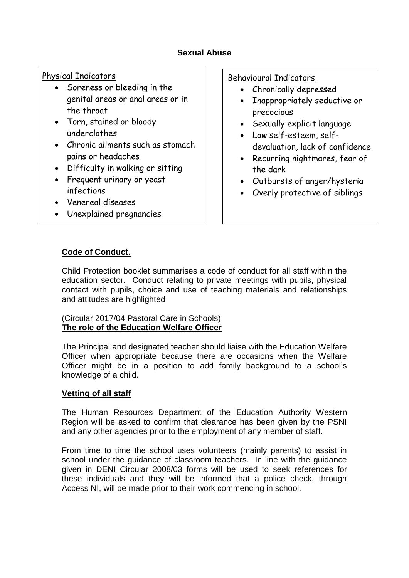# **Sexual Abuse**

# Physical Indicators

- Soreness or bleeding in the genital areas or anal areas or in the throat
- Torn, stained or bloody underclothes
- Chronic ailments such as stomach pains or headaches
- Difficulty in walking or sitting
- Frequent urinary or yeast infections
- Venereal diseases
- Unexplained pregnancies

### Behavioural Indicators

- Chronically depressed
- Inappropriately seductive or precocious
- Sexually explicit language
- Low self-esteem, selfdevaluation, lack of confidence
- Recurring nightmares, fear of the dark
- Outbursts of anger/hysteria
- Overly protective of siblings

# **Code of Conduct.**

Child Protection booklet summarises a code of conduct for all staff within the education sector. Conduct relating to private meetings with pupils, physical contact with pupils, choice and use of teaching materials and relationships and attitudes are highlighted

### (Circular 2017/04 Pastoral Care in Schools) **The role of the Education Welfare Officer**

The Principal and designated teacher should liaise with the Education Welfare Officer when appropriate because there are occasions when the Welfare Officer might be in a position to add family background to a school's knowledge of a child.

### **Vetting of all staff**

The Human Resources Department of the Education Authority Western Region will be asked to confirm that clearance has been given by the PSNI and any other agencies prior to the employment of any member of staff.

From time to time the school uses volunteers (mainly parents) to assist in school under the guidance of classroom teachers. In line with the guidance given in DENI Circular 2008/03 forms will be used to seek references for these individuals and they will be informed that a police check, through Access NI, will be made prior to their work commencing in school.